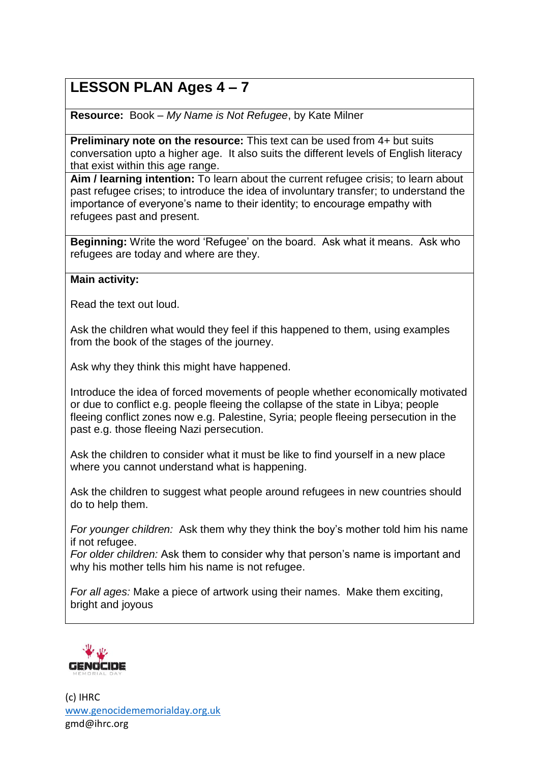## **LESSON PLAN Ages 4 – 7**

**Resource:** Book – *My Name is Not Refugee*, by Kate Milner

**Preliminary note on the resource:** This text can be used from 4+ but suits conversation upto a higher age. It also suits the different levels of English literacy that exist within this age range.

**Aim / learning intention:** To learn about the current refugee crisis; to learn about past refugee crises; to introduce the idea of involuntary transfer; to understand the importance of everyone's name to their identity; to encourage empathy with refugees past and present.

**Beginning:** Write the word 'Refugee' on the board. Ask what it means. Ask who refugees are today and where are they.

## **Main activity:**

Read the text out loud.

Ask the children what would they feel if this happened to them, using examples from the book of the stages of the journey.

Ask why they think this might have happened.

Introduce the idea of forced movements of people whether economically motivated or due to conflict e.g. people fleeing the collapse of the state in Libya; people fleeing conflict zones now e.g. Palestine, Syria; people fleeing persecution in the past e.g. those fleeing Nazi persecution.

Ask the children to consider what it must be like to find yourself in a new place where you cannot understand what is happening.

Ask the children to suggest what people around refugees in new countries should do to help them.

*For younger children:* Ask them why they think the boy's mother told him his name if not refugee.

*For older children:* Ask them to consider why that person's name is important and why his mother tells him his name is not refugee.

*For all ages:* Make a piece of artwork using their names. Make them exciting, bright and joyous